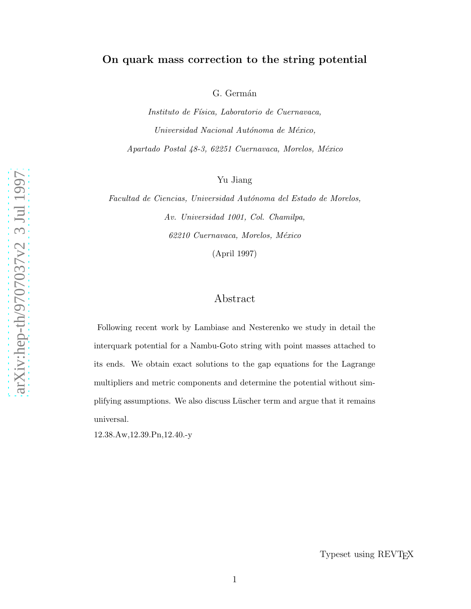# On quark mass correction to the string potential

G. Germán

Instituto de Física, Laboratorio de Cuernavaca, Universidad Nacional Autónoma de México, Apartado Postal 48-3, 62251 Cuernavaca, Morelos, México

Yu Jiang

Facultad de Ciencias, Universidad Autónoma del Estado de Morelos, Av. Universidad 1001, Col. Chamilpa, 62210 Cuernavaca, Morelos, México

(April 1997)

# Abstract

Following recent work by Lambiase and Nesterenko we study in detail the interquark potential for a Nambu-Goto string with point masses attached to its ends. We obtain exact solutions to the gap equations for the Lagrange multipliers and metric components and determine the potential without simplifying assumptions. We also discuss Lüscher term and argue that it remains universal.

12.38.Aw,12.39.Pn,12.40.-y

Typeset using REVTEX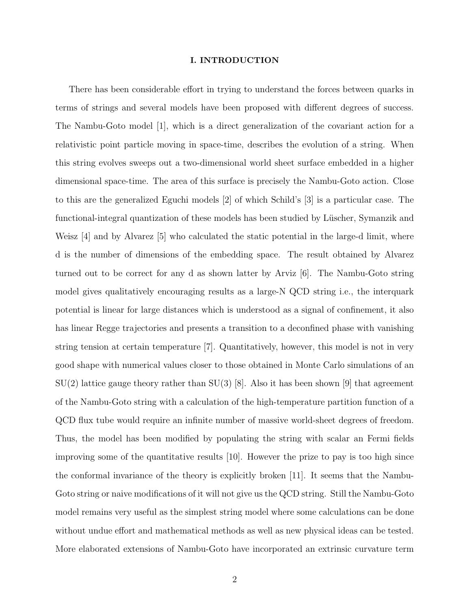# I. INTRODUCTION

There has been considerable effort in trying to understand the forces between quarks in terms of strings and several models have been proposed with different degrees of success. The Nambu-Goto model [1], which is a direct generalization of the covariant action for a relativistic point particle moving in space-time, describes the evolution of a string. When this string evolves sweeps out a two-dimensional world sheet surface embedded in a higher dimensional space-time. The area of this surface is precisely the Nambu-Goto action. Close to this are the generalized Eguchi models [2] of which Schild's [3] is a particular case. The functional-integral quantization of these models has been studied by Lüscher, Symanzik and Weisz [4] and by Alvarez [5] who calculated the static potential in the large-d limit, where d is the number of dimensions of the embedding space. The result obtained by Alvarez turned out to be correct for any d as shown latter by Arviz [6]. The Nambu-Goto string model gives qualitatively encouraging results as a large-N QCD string i.e., the interquark potential is linear for large distances which is understood as a signal of confinement, it also has linear Regge trajectories and presents a transition to a deconfined phase with vanishing string tension at certain temperature [7]. Quantitatively, however, this model is not in very good shape with numerical values closer to those obtained in Monte Carlo simulations of an  $SU(2)$  lattice gauge theory rather than  $SU(3)$  [8]. Also it has been shown [9] that agreement of the Nambu-Goto string with a calculation of the high-temperature partition function of a QCD flux tube would require an infinite number of massive world-sheet degrees of freedom. Thus, the model has been modified by populating the string with scalar an Fermi fields improving some of the quantitative results [10]. However the prize to pay is too high since the conformal invariance of the theory is explicitly broken [11]. It seems that the Nambu-Goto string or naive modifications of it will not give us the QCD string. Still the Nambu-Goto model remains very useful as the simplest string model where some calculations can be done without undue effort and mathematical methods as well as new physical ideas can be tested. More elaborated extensions of Nambu-Goto have incorporated an extrinsic curvature term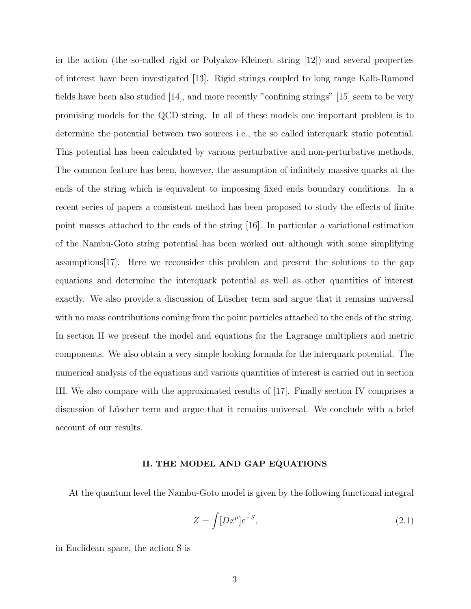in the action (the so-called rigid or Polyakov-Kleinert string [12]) and several properties of interest have been investigated [13]. Rigid strings coupled to long range Kalb-Ramond fields have been also studied [14], and more recently "confining strings" [15] seem to be very promising models for the QCD string. In all of these models one important problem is to determine the potential between two sources i.e., the so called interquark static potential. This potential has been calculated by various perturbative and non-perturbative methods. The common feature has been, however, the assumption of infinitely massive quarks at the ends of the string which is equivalent to impossing fixed ends boundary conditions. In a recent series of papers a consistent method has been proposed to study the effects of finite point masses attached to the ends of the string [16]. In particular a variational estimation of the Nambu-Goto string potential has been worked out although with some simplifying assumptions[17]. Here we reconsider this problem and present the solutions to the gap equations and determine the interquark potential as well as other quantities of interest exactly. We also provide a discussion of Lüscher term and argue that it remains universal with no mass contributions coming from the point particles attached to the ends of the string. In section II we present the model and equations for the Lagrange multipliers and metric components. We also obtain a very simple looking formula for the interquark potential. The numerical analysis of the equations and various quantities of interest is carried out in section III. We also compare with the approximated results of [17]. Finally section IV comprises a discussion of Lüscher term and argue that it remains universal. We conclude with a brief account of our results.

### II. THE MODEL AND GAP EQUATIONS

At the quantum level the Nambu-Goto model is given by the following functional integral

$$
Z = \int [Dx^{\mu}]e^{-S},\tag{2.1}
$$

in Euclidean space, the action S is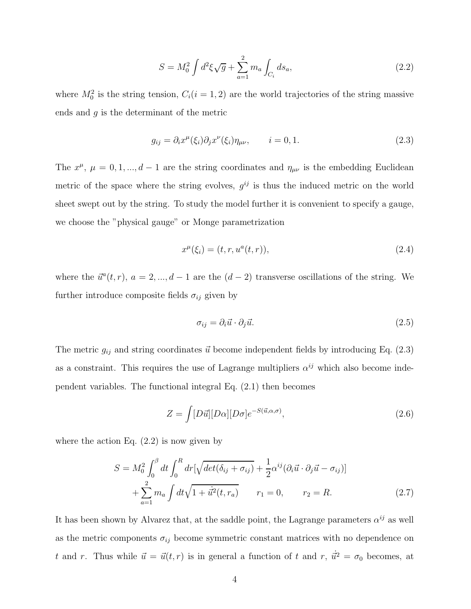$$
S = M_0^2 \int d^2 \xi \sqrt{g} + \sum_{a=1}^2 m_a \int_{C_i} ds_a, \qquad (2.2)
$$

where  $M_0^2$  is the string tension,  $C_i(i = 1, 2)$  are the world trajectories of the string massive ends and  $q$  is the determinant of the metric

$$
g_{ij} = \partial_i x^{\mu}(\xi_i) \partial_j x^{\nu}(\xi_i) \eta_{\mu\nu}, \qquad i = 0, 1.
$$
 (2.3)

The  $x^{\mu}$ ,  $\mu = 0, 1, ..., d - 1$  are the string coordinates and  $\eta_{\mu\nu}$  is the embedding Euclidean metric of the space where the string evolves,  $g^{ij}$  is thus the induced metric on the world sheet swept out by the string. To study the model further it is convenient to specify a gauge, we choose the "physical gauge" or Monge parametrization

$$
x^{\mu}(\xi_i) = (t, r, u^a(t, r)), \tag{2.4}
$$

where the  $\vec{u}^a(t, r)$ ,  $a = 2, ..., d - 1$  are the  $(d - 2)$  transverse oscillations of the string. We further introduce composite fields  $\sigma_{ij}$  given by

$$
\sigma_{ij} = \partial_i \vec{u} \cdot \partial_j \vec{u}.\tag{2.5}
$$

The metric  $g_{ij}$  and string coordinates  $\vec{u}$  become independent fields by introducing Eq. (2.3) as a constraint. This requires the use of Lagrange multipliers  $\alpha^{ij}$  which also become independent variables. The functional integral Eq. (2.1) then becomes

$$
Z = \int [D\vec{u}][D\alpha][D\sigma]e^{-S(\vec{u},\alpha,\sigma)}, \qquad (2.6)
$$

where the action Eq.  $(2.2)$  is now given by

$$
S = M_0^2 \int_0^\beta dt \int_0^R dr \left[ \sqrt{\det(\delta_{ij} + \sigma_{ij})} + \frac{1}{2} \alpha^{ij} (\partial_i \vec{u} \cdot \partial_j \vec{u} - \sigma_{ij}) \right] + \sum_{a=1}^2 m_a \int dt \sqrt{1 + \dot{u}^2(t, r_a)} \qquad r_1 = 0, \qquad r_2 = R.
$$
 (2.7)

It has been shown by Alvarez that, at the saddle point, the Lagrange parameters  $\alpha^{ij}$  as well as the metric components  $\sigma_{ij}$  become symmetric constant matrices with no dependence on t and r. Thus while  $\vec{u} = \vec{u}(t,r)$  is in general a function of t and r,  $\dot{\vec{u}}^2 = \sigma_0$  becomes, at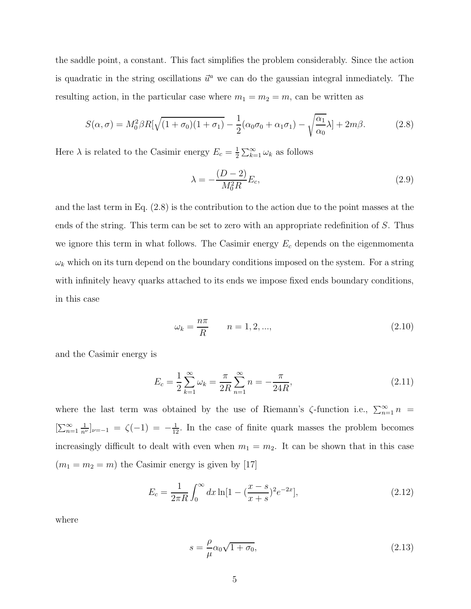the saddle point, a constant. This fact simplifies the problem considerably. Since the action is quadratic in the string oscillations  $\vec{u}^a$  we can do the gaussian integral inmediately. The resulting action, in the particular case where  $m_1 = m_2 = m$ , can be written as

$$
S(\alpha,\sigma) = M_0^2 \beta R \left[ \sqrt{(1+\sigma_0)(1+\sigma_1)} - \frac{1}{2} (\alpha_0 \sigma_0 + \alpha_1 \sigma_1) - \sqrt{\frac{\alpha_1}{\alpha_0}} \lambda \right] + 2m\beta. \tag{2.8}
$$

Here  $\lambda$  is related to the Casimir energy  $E_c = \frac{1}{2}$  $\frac{1}{2} \sum_{k=1}^{\infty} \omega_k$  as follows

$$
\lambda = -\frac{(D-2)}{M_0^2 R} E_c,
$$
\n(2.9)

and the last term in Eq. (2.8) is the contribution to the action due to the point masses at the ends of the string. This term can be set to zero with an appropriate redefinition of S. Thus we ignore this term in what follows. The Casimir energy  $E_c$  depends on the eigenmomenta  $\omega_k$  which on its turn depend on the boundary conditions imposed on the system. For a string with infinitely heavy quarks attached to its ends we impose fixed ends boundary conditions, in this case

$$
\omega_k = \frac{n\pi}{R} \qquad n = 1, 2, ..., \tag{2.10}
$$

and the Casimir energy is

$$
E_c = \frac{1}{2} \sum_{k=1}^{\infty} \omega_k = \frac{\pi}{2R} \sum_{n=1}^{\infty} n = -\frac{\pi}{24R},
$$
\n(2.11)

where the last term was obtained by the use of Riemann's  $\zeta$ -function i.e.,  $\sum_{n=1}^{\infty} n$  =  $[\sum_{n=1}^{\infty} \frac{1}{n^{\nu}}]_{\nu=-1} = \zeta(-1) = -\frac{1}{12}$ . In the case of finite quark masses the problem becomes increasingly difficult to dealt with even when  $m_1 = m_2$ . It can be shown that in this case  $(m_1 = m_2 = m)$  the Casimir energy is given by [17]

$$
E_c = \frac{1}{2\pi R} \int_0^\infty dx \ln[1 - (\frac{x - s}{x + s})^2 e^{-2x}], \tag{2.12}
$$

where

$$
s = \frac{\rho}{\mu} \alpha_0 \sqrt{1 + \sigma_0},\tag{2.13}
$$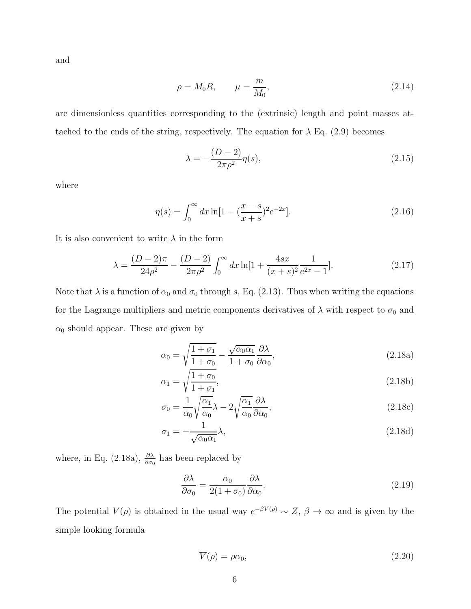and

$$
\rho = M_0 R, \qquad \mu = \frac{m}{M_0}, \tag{2.14}
$$

are dimensionless quantities corresponding to the (extrinsic) length and point masses attached to the ends of the string, respectively. The equation for  $\lambda$  Eq. (2.9) becomes

$$
\lambda = -\frac{(D-2)}{2\pi\rho^2} \eta(s),\tag{2.15}
$$

where

$$
\eta(s) = \int_0^\infty dx \ln[1 - (\frac{x - s}{x + s})^2 e^{-2x}].\tag{2.16}
$$

It is also convenient to write  $\lambda$  in the form

$$
\lambda = \frac{(D-2)\pi}{24\rho^2} - \frac{(D-2)}{2\pi\rho^2} \int_0^\infty dx \ln[1 + \frac{4sx}{(x+s)^2} \frac{1}{e^{2x} - 1}].\tag{2.17}
$$

Note that  $\lambda$  is a function of  $\alpha_0$  and  $\sigma_0$  through s, Eq. (2.13). Thus when writing the equations for the Lagrange multipliers and metric components derivatives of  $\lambda$  with respect to  $\sigma_0$  and  $\alpha_0$  should appear. These are given by

$$
\alpha_0 = \sqrt{\frac{1+\sigma_1}{1+\sigma_0}} - \frac{\sqrt{\alpha_0 \alpha_1}}{1+\sigma_0} \frac{\partial \lambda}{\partial \alpha_0},
$$
\n(2.18a)

$$
\alpha_1 = \sqrt{\frac{1+\sigma_0}{1+\sigma_1}},\tag{2.18b}
$$

$$
\sigma_0 = \frac{1}{\alpha_0} \sqrt{\frac{\alpha_1}{\alpha_0}} \lambda - 2 \sqrt{\frac{\alpha_1}{\alpha_0}} \frac{\partial \lambda}{\partial \alpha_0},\tag{2.18c}
$$

$$
\sigma_1 = -\frac{1}{\sqrt{\alpha_0 \alpha_1}} \lambda,\tag{2.18d}
$$

where, in Eq. (2.18a),  $\frac{\partial \lambda}{\partial \sigma_0}$  has been replaced by

$$
\frac{\partial \lambda}{\partial \sigma_0} = \frac{\alpha_0}{2(1 + \sigma_0)} \frac{\partial \lambda}{\partial \alpha_0}.
$$
\n(2.19)

The potential  $V(\rho)$  is obtained in the usual way  $e^{-\beta V(\rho)} \sim Z$ ,  $\beta \to \infty$  and is given by the simple looking formula

$$
\overline{V}(\rho) = \rho \alpha_0,\tag{2.20}
$$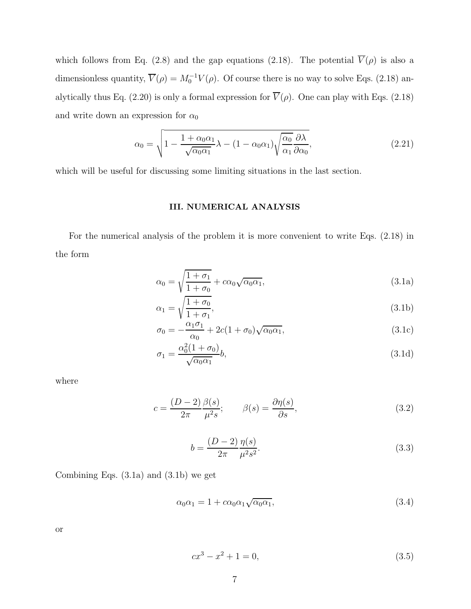which follows from Eq. (2.8) and the gap equations (2.18). The potential  $\overline{V}(\rho)$  is also a dimensionless quantity,  $\overline{V}(\rho) = M_0^{-1} V(\rho)$ . Of course there is no way to solve Eqs. (2.18) analytically thus Eq. (2.20) is only a formal expression for  $\overline{V}(\rho)$ . One can play with Eqs. (2.18) and write down an expression for  $\alpha_0$ 

$$
\alpha_0 = \sqrt{1 - \frac{1 + \alpha_0 \alpha_1}{\sqrt{\alpha_0 \alpha_1}} \lambda - (1 - \alpha_0 \alpha_1) \sqrt{\frac{\alpha_0}{\alpha_1} \frac{\partial \lambda}{\partial \alpha_0}}},
$$
\n(2.21)

which will be useful for discussing some limiting situations in the last section.

# III. NUMERICAL ANALYSIS

For the numerical analysis of the problem it is more convenient to write Eqs. (2.18) in the form

$$
\alpha_0 = \sqrt{\frac{1+\sigma_1}{1+\sigma_0}} + c\alpha_0\sqrt{\alpha_0\alpha_1},\tag{3.1a}
$$

$$
\alpha_1 = \sqrt{\frac{1+\sigma_0}{1+\sigma_1}},\tag{3.1b}
$$

$$
\sigma_0 = -\frac{\alpha_1 \sigma_1}{\alpha_0} + 2c(1 + \sigma_0)\sqrt{\alpha_0 \alpha_1},\tag{3.1c}
$$

$$
\sigma_1 = \frac{\alpha_0^2 (1 + \sigma_0)}{\sqrt{\alpha_0 \alpha_1}} b,\tag{3.1d}
$$

where

$$
c = \frac{(D-2)}{2\pi} \frac{\beta(s)}{\mu^2 s}; \qquad \beta(s) = \frac{\partial \eta(s)}{\partial s}, \qquad (3.2)
$$

$$
b = \frac{(D-2)\eta(s)}{2\pi \mu^2 s^2}.
$$
\n(3.3)

Combining Eqs. (3.1a) and (3.1b) we get

$$
\alpha_0 \alpha_1 = 1 + c \alpha_0 \alpha_1 \sqrt{\alpha_0 \alpha_1},\tag{3.4}
$$

or

$$
cx^3 - x^2 + 1 = 0,\t\t(3.5)
$$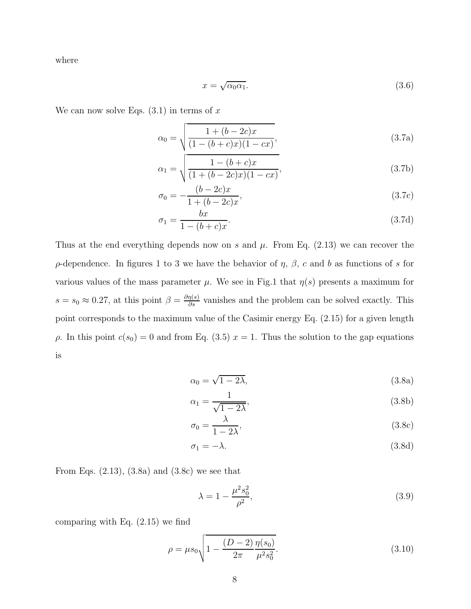where

$$
x = \sqrt{\alpha_0 \alpha_1}.\tag{3.6}
$$

We can now solve Eqs.  $(3.1)$  in terms of x

$$
\alpha_0 = \sqrt{\frac{1 + (b - 2c)x}{(1 - (b + c)x)(1 - cx)}},\tag{3.7a}
$$

$$
\alpha_1 = \sqrt{\frac{1 - (b + c)x}{(1 + (b - 2c)x)(1 - cx)}},\tag{3.7b}
$$

$$
\sigma_0 = -\frac{(b - 2c)x}{1 + (b - 2c)x},\tag{3.7c}
$$

$$
\sigma_1 = \frac{bx}{1 - (b + c)x}.\tag{3.7d}
$$

Thus at the end everything depends now on s and  $\mu$ . From Eq. (2.13) we can recover the  $\rho$ -dependence. In figures 1 to 3 we have the behavior of  $\eta$ ,  $\beta$ , c and b as functions of s for various values of the mass parameter  $\mu$ . We see in Fig.1 that  $\eta(s)$  presents a maximum for  $s = s_0 \approx 0.27$ , at this point  $\beta = \frac{\partial \eta(s)}{\partial s}$  vanishes and the problem can be solved exactly. This point corresponds to the maximum value of the Casimir energy Eq. (2.15) for a given length  $ρ$ . In this point  $c(s<sub>0</sub>) = 0$  and from Eq. (3.5)  $x = 1$ . Thus the solution to the gap equations is

$$
\alpha_0 = \sqrt{1 - 2\lambda},\tag{3.8a}
$$

$$
\alpha_1 = \frac{1}{\sqrt{1 - 2\lambda}},\tag{3.8b}
$$

$$
\sigma_0 = \frac{\lambda}{1 - 2\lambda},\tag{3.8c}
$$

$$
\sigma_1 = -\lambda. \tag{3.8d}
$$

From Eqs.  $(2.13)$ ,  $(3.8a)$  and  $(3.8c)$  we see that

$$
\lambda = 1 - \frac{\mu^2 s_0^2}{\rho^2},\tag{3.9}
$$

comparing with Eq. (2.15) we find

$$
\rho = \mu s_0 \sqrt{1 - \frac{(D-2)}{2\pi} \frac{\eta(s_0)}{\mu^2 s_0^2}}.
$$
\n(3.10)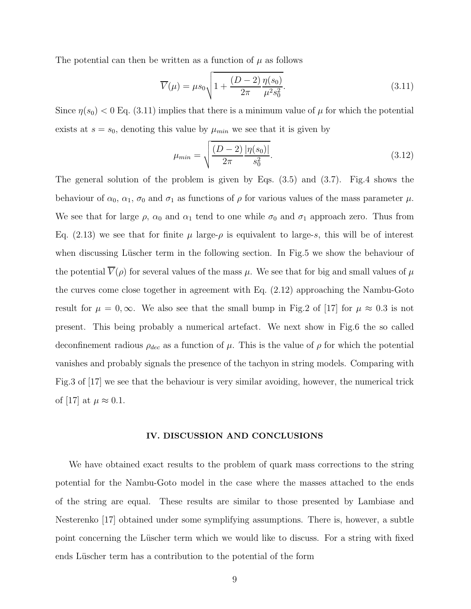The potential can then be written as a function of  $\mu$  as follows

$$
\overline{V}(\mu) = \mu s_0 \sqrt{1 + \frac{(D-2)\eta(s_0)}{2\pi} \mu^2 s_0^2}.
$$
\n(3.11)

Since  $\eta(s_0)$  < 0 Eq. (3.11) implies that there is a minimum value of  $\mu$  for which the potential exists at  $s = s_0$ , denoting this value by  $\mu_{min}$  we see that it is given by

$$
\mu_{min} = \sqrt{\frac{(D-2)}{2\pi} \frac{|\eta(s_0)|}{s_0^2}}.\tag{3.12}
$$

The general solution of the problem is given by Eqs. (3.5) and (3.7). Fig.4 shows the behaviour of  $\alpha_0$ ,  $\alpha_1$ ,  $\sigma_0$  and  $\sigma_1$  as functions of  $\rho$  for various values of the mass parameter  $\mu$ . We see that for large  $\rho$ ,  $\alpha_0$  and  $\alpha_1$  tend to one while  $\sigma_0$  and  $\sigma_1$  approach zero. Thus from Eq. (2.13) we see that for finite  $\mu$  large- $\rho$  is equivalent to large-s, this will be of interest when discussing Lüscher term in the following section. In Fig.5 we show the behaviour of the potential  $V(\rho)$  for several values of the mass  $\mu$ . We see that for big and small values of  $\mu$ the curves come close together in agreement with Eq. (2.12) approaching the Nambu-Goto result for  $\mu = 0, \infty$ . We also see that the small bump in Fig.2 of [17] for  $\mu \approx 0.3$  is not present. This being probably a numerical artefact. We next show in Fig.6 the so called deconfinement radious  $\rho_{dec}$  as a function of  $\mu$ . This is the value of  $\rho$  for which the potential vanishes and probably signals the presence of the tachyon in string models. Comparing with Fig.3 of [17] we see that the behaviour is very similar avoiding, however, the numerical trick of [17] at  $\mu \approx 0.1$ .

### IV. DISCUSSION AND CONCLUSIONS

We have obtained exact results to the problem of quark mass corrections to the string potential for the Nambu-Goto model in the case where the masses attached to the ends of the string are equal. These results are similar to those presented by Lambiase and Nesterenko [17] obtained under some symplifying assumptions. There is, however, a subtle point concerning the Lüscher term which we would like to discuss. For a string with fixed ends Lüscher term has a contribution to the potential of the form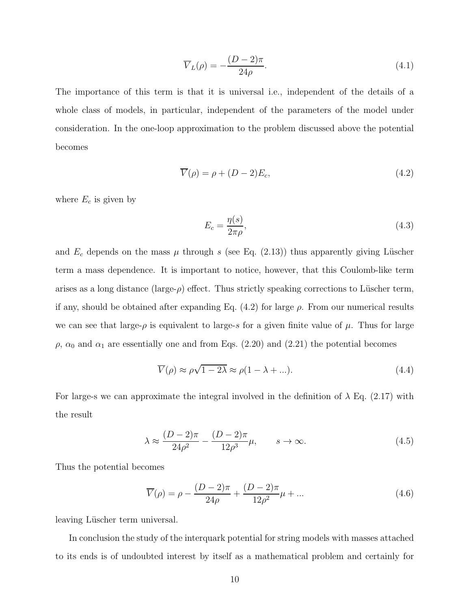$$
\overline{V}_L(\rho) = -\frac{(D-2)\pi}{24\rho}.\tag{4.1}
$$

The importance of this term is that it is universal i.e., independent of the details of a whole class of models, in particular, independent of the parameters of the model under consideration. In the one-loop approximation to the problem discussed above the potential becomes

$$
\overline{V}(\rho) = \rho + (D - 2)E_c,\tag{4.2}
$$

where  $E_c$  is given by

$$
E_c = \frac{\eta(s)}{2\pi\rho},\tag{4.3}
$$

and  $E_c$  depends on the mass  $\mu$  through s (see Eq. (2.13)) thus apparently giving Lüscher term a mass dependence. It is important to notice, however, that this Coulomb-like term arises as a long distance (large- $\rho$ ) effect. Thus strictly speaking corrections to Lüscher term, if any, should be obtained after expanding Eq.  $(4.2)$  for large  $\rho$ . From our numerical results we can see that large- $\rho$  is equivalent to large-s for a given finite value of  $\mu$ . Thus for large  $\rho$ ,  $\alpha_0$  and  $\alpha_1$  are essentially one and from Eqs. (2.20) and (2.21) the potential becomes

$$
\overline{V}(\rho) \approx \rho \sqrt{1 - 2\lambda} \approx \rho (1 - \lambda + \ldots). \tag{4.4}
$$

For large-s we can approximate the integral involved in the definition of  $\lambda$  Eq. (2.17) with the result

$$
\lambda \approx \frac{(D-2)\pi}{24\rho^2} - \frac{(D-2)\pi}{12\rho^3} \mu, \qquad s \to \infty.
$$
 (4.5)

Thus the potential becomes

$$
\overline{V}(\rho) = \rho - \frac{(D-2)\pi}{24\rho} + \frac{(D-2)\pi}{12\rho^2}\mu + \dots
$$
\n(4.6)

leaving Lüscher term universal.

In conclusion the study of the interquark potential for string models with masses attached to its ends is of undoubted interest by itself as a mathematical problem and certainly for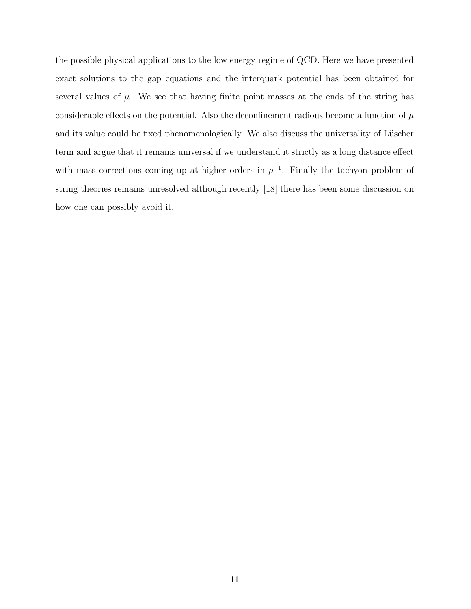the possible physical applications to the low energy regime of QCD. Here we have presented exact solutions to the gap equations and the interquark potential has been obtained for several values of  $\mu$ . We see that having finite point masses at the ends of the string has considerable effects on the potential. Also the deconfinement radious become a function of  $\mu$ and its value could be fixed phenomenologically. We also discuss the universality of Lüscher term and argue that it remains universal if we understand it strictly as a long distance effect with mass corrections coming up at higher orders in  $\rho^{-1}$ . Finally the tachyon problem of string theories remains unresolved although recently [18] there has been some discussion on how one can possibly avoid it.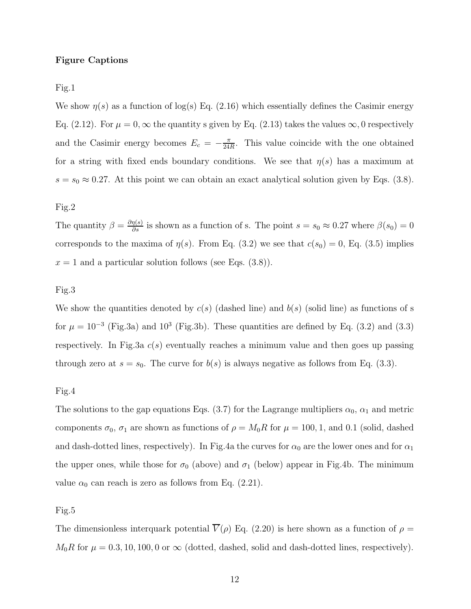## Figure Captions

Fig.1

We show  $\eta(s)$  as a function of log(s) Eq. (2.16) which essentially defines the Casimir energy Eq. (2.12). For  $\mu = 0$ ,  $\infty$  the quantity s given by Eq. (2.13) takes the values  $\infty$ , 0 respectively and the Casimir energy becomes  $E_c = -\frac{\pi}{24}$  $\frac{\pi}{24R}$ . This value coincide with the one obtained for a string with fixed ends boundary conditions. We see that  $\eta(s)$  has a maximum at  $s = s_0 \approx 0.27$ . At this point we can obtain an exact analytical solution given by Eqs. (3.8).

# Fig.2

The quantity  $\beta = \frac{\partial \eta(s)}{\partial s}$  is shown as a function of s. The point  $s = s_0 \approx 0.27$  where  $\beta(s_0) = 0$ corresponds to the maxima of  $\eta(s)$ . From Eq. (3.2) we see that  $c(s_0) = 0$ , Eq. (3.5) implies  $x = 1$  and a particular solution follows (see Eqs. (3.8)).

#### Fig.3

We show the quantities denoted by  $c(s)$  (dashed line) and  $b(s)$  (solid line) as functions of s for  $\mu = 10^{-3}$  (Fig.3a) and 10<sup>3</sup> (Fig.3b). These quantities are defined by Eq. (3.2) and (3.3) respectively. In Fig.3a  $c(s)$  eventually reaches a minimum value and then goes up passing through zero at  $s = s_0$ . The curve for  $b(s)$  is always negative as follows from Eq. (3.3).

#### Fig.4

The solutions to the gap equations Eqs. (3.7) for the Lagrange multipliers  $\alpha_0$ ,  $\alpha_1$  and metric components  $\sigma_0$ ,  $\sigma_1$  are shown as functions of  $\rho = M_0R$  for  $\mu = 100, 1$ , and 0.1 (solid, dashed and dash-dotted lines, respectively). In Fig.4a the curves for  $\alpha_0$  are the lower ones and for  $\alpha_1$ the upper ones, while those for  $\sigma_0$  (above) and  $\sigma_1$  (below) appear in Fig.4b. The minimum value  $\alpha_0$  can reach is zero as follows from Eq. (2.21).

#### Fig.5

The dimensionless interquark potential  $\overline{V}(\rho)$  Eq. (2.20) is here shown as a function of  $\rho =$  $M_0R$  for  $\mu = 0.3, 10, 100, 0$  or  $\infty$  (dotted, dashed, solid and dash-dotted lines, respectively).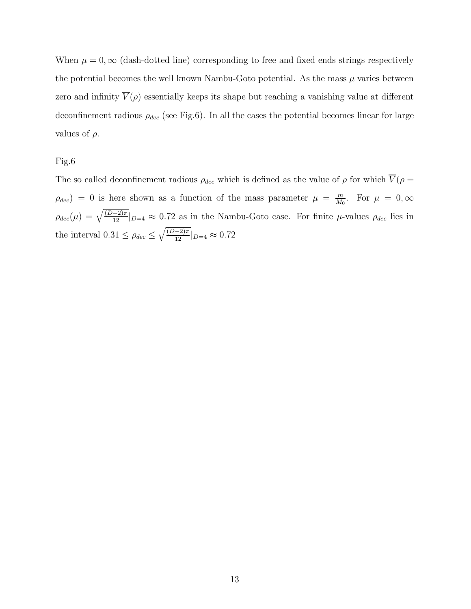When  $\mu = 0$ ,  $\infty$  (dash-dotted line) corresponding to free and fixed ends strings respectively the potential becomes the well known Nambu-Goto potential. As the mass  $\mu$  varies between zero and infinity  $\overline{V}(\rho)$  essentially keeps its shape but reaching a vanishing value at different deconfinement radious  $\rho_{dec}$  (see Fig.6). In all the cases the potential becomes linear for large values of  $\rho$ .

Fig.6

The so called deconfinement radious  $\rho_{dec}$  which is defined as the value of  $\rho$  for which  $\overline{V}(\rho =$  $\rho_{dec}$  = 0 is here shown as a function of the mass parameter  $\mu = \frac{m}{M}$  $\frac{m}{M_0}$ . For  $\mu = 0, \infty$  $\rho_{dec}(\mu) = \sqrt{\frac{(D-2)\pi}{12}} |_{D=4} \approx 0.72$  as in the Nambu-Goto case. For finite  $\mu$ -values  $\rho_{dec}$  lies in the interval  $0.31 \le \rho_{dec} \le \sqrt{\frac{(D-2)\pi}{12}} |_{D=4} \approx 0.72$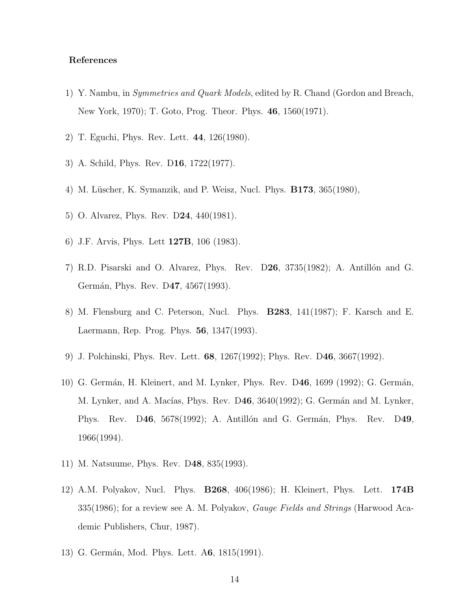# References

- 1) Y. Nambu, in Symmetries and Quark Models, edited by R. Chand (Gordon and Breach, New York, 1970); T. Goto, Prog. Theor. Phys. 46, 1560(1971).
- 2) T. Eguchi, Phys. Rev. Lett. 44, 126(1980).
- 3) A. Schild, Phys. Rev. D16, 1722(1977).
- 4) M. Lüscher, K. Symanzik, and P. Weisz, Nucl. Phys. **B173**, 365(1980),
- 5) O. Alvarez, Phys. Rev. D24, 440(1981).
- 6) J.F. Arvis, Phys. Lett 127B, 106 (1983).
- 7) R.D. Pisarski and O. Alvarez, Phys. Rev. D26, 3735(1982); A. Antillón and G. Germán, Phys. Rev. D47, 4567(1993).
- 8) M. Flensburg and C. Peterson, Nucl. Phys. B283, 141(1987); F. Karsch and E. Laermann, Rep. Prog. Phys. 56, 1347(1993).
- 9) J. Polchinski, Phys. Rev. Lett. 68, 1267(1992); Phys. Rev. D46, 3667(1992).
- 10) G. Germán, H. Kleinert, and M. Lynker, Phys. Rev. D46, 1699 (1992); G. Germán, M. Lynker, and A. Macías, Phys. Rev. D46, 3640(1992); G. Germán and M. Lynker, Phys. Rev. D46, 5678(1992); A. Antillón and G. Germán, Phys. Rev. D49, 1966(1994).
- 11) M. Natsuume, Phys. Rev. D48, 835(1993).
- 12) A.M. Polyakov, Nucl. Phys. B268, 406(1986); H. Kleinert, Phys. Lett. 174B 335(1986); for a review see A. M. Polyakov, *Gauge Fields and Strings* (Harwood Academic Publishers, Chur, 1987).
- 13) G. Germán, Mod. Phys. Lett. A6, 1815(1991).